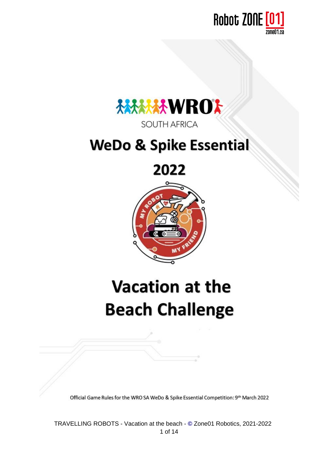



# **WeDo & Spike Essential**

2022



# **Vacation at the Beach Challenge**

Official Game Rules for the WRO SA WeDo & Spike Essential Competition: 9th March 2022

TRAVELLING ROBOTS - Vacation at the beach - **[©](http://fr.wikipedia.org/wiki/%C2%A9)** Zone01 Robotics, 2021-2022 1 of 14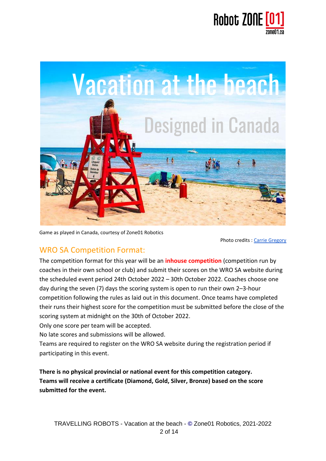



Game as played in Canada, courtesy of Zone01 Robotics

Photo credits : [Carrie Gregory](https://www.carriegregory.com/)

#### WRO SA Competition Format:

The competition format for this year will be an **inhouse competition** (competition run by coaches in their own school or club) and submit their scores on the WRO SA website during the scheduled event period 24th October 2022 – 30th October 2022. Coaches choose one day during the seven (7) days the scoring system is open to run their own 2–3-hour competition following the rules as laid out in this document. Once teams have completed their runs their highest score for the competition must be submitted before the close of the scoring system at midnight on the 30th of October 2022.

Only one score per team will be accepted.

No late scores and submissions will be allowed.

Teams are required to register on the WRO SA website during the registration period if participating in this event.

**There is no physical provincial or national event for this competition category. Teams will receive a certificate (Diamond, Gold, Silver, Bronze) based on the score submitted for the event.**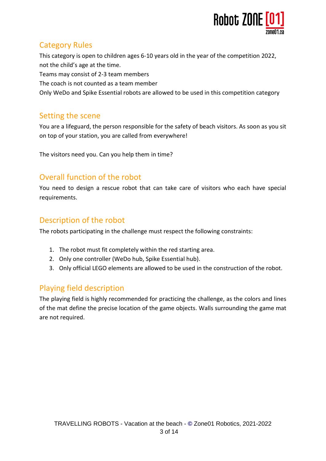

## Category Rules

This category is open to children ages 6-10 years old in the year of the competition 2022, not the child's age at the time.

Teams may consist of 2-3 team members

The coach is not counted as a team member

Only WeDo and Spike Essential robots are allowed to be used in this competition category

## Setting the scene

You are a lifeguard, the person responsible for the safety of beach visitors. As soon as you sit on top of your station, you are called from everywhere!

The visitors need you. Can you help them in time?

## Overall function of the robot

You need to design a rescue robot that can take care of visitors who each have special requirements.

### Description of the robot

The robots participating in the challenge must respect the following constraints:

- 1. The robot must fit completely within the red starting area.
- 2. Only one controller (WeDo hub, Spike Essential hub).
- 3. Only official LEGO elements are allowed to be used in the construction of the robot.

## Playing field description

The playing field is highly recommended for practicing the challenge, as the colors and lines of the mat define the precise location of the game objects. Walls surrounding the game mat are not required.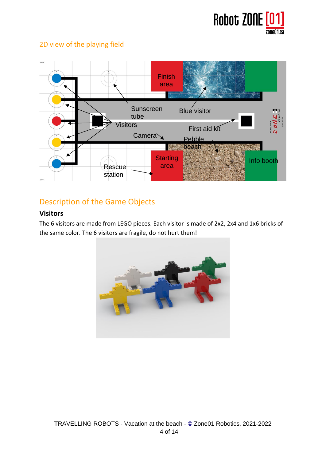

#### 2D view of the playing field



## Description of the Game Objects

#### **Visitors**

The 6 visitors are made from LEGO pieces. Each visitor is made of 2x2, 2x4 and 1x6 bricks of the same color. The 6 visitors are fragile, do not hurt them!

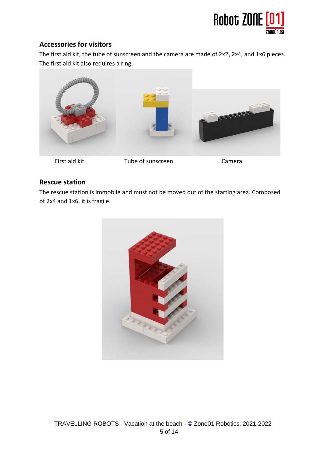

#### **Accessories for visitors**

The first aid kit, the tube of sunscreen and the camera are made of 2x2, 2x4, and 1x6 pieces. The first aid kit also requires a ring.



#### **Rescue station**

The rescue station is immobile and must not be moved out of the starting area. Composed of 2x4 and 1x6, it is fragile.

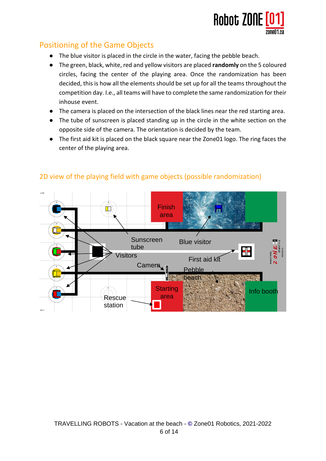

## Positioning of the Game Objects

- The blue visitor is placed in the circle in the water, facing the pebble beach.
- The green, black, white, red and yellow visitors are placed **randomly** on the 5 coloured circles, facing the center of the playing area. Once the randomization has been decided, this is how all the elements should be set up for all the teams throughout the competition day. I.e., all teams will have to complete the same randomization for their inhouse event.
- The camera is placed on the intersection of the black lines near the red starting area.
- The tube of sunscreen is placed standing up in the circle in the white section on the opposite side of the camera. The orientation is decided by the team.
- The first aid kit is placed on the black square near the Zone01 logo. The ring faces the center of the playing area.



#### 2D view of the playing field with game objects (possible randomization)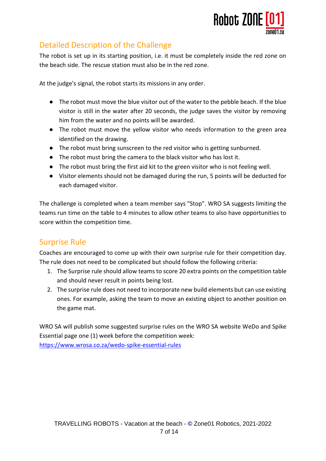

## Detailed Description of the Challenge

The robot is set up in its starting position, i.e. it must be completely inside the red zone on the beach side. The rescue station must also be in the red zone.

At the judge's signal, the robot starts its missions in any order.

- The robot must move the blue visitor out of the water to the pebble beach. If the blue visitor is still in the water after 20 seconds, the judge saves the visitor by removing him from the water and no points will be awarded.
- The robot must move the yellow visitor who needs information to the green area identified on the drawing.
- The robot must bring sunscreen to the red visitor who is getting sunburned.
- The robot must bring the camera to the black visitor who has lost it.
- The robot must bring the first aid kit to the green visitor who is not feeling well.
- Visitor elements should not be damaged during the run, 5 points will be deducted for each damaged visitor.

The challenge is completed when a team member says "Stop". WRO SA suggests limiting the teams run time on the table to 4 minutes to allow other teams to also have opportunities to score within the competition time.

#### Surprise Rule

Coaches are encouraged to come up with their own surprise rule for their competition day. The rule does not need to be complicated but should follow the following criteria:

- 1. The Surprise rule should allow teams to score 20 extra points on the competition table and should never result in points being lost.
- 2. The surprise rule does not need to incorporate new build elements but can use existing ones. For example, asking the team to move an existing object to another position on the game mat.

WRO SA will publish some suggested surprise rules on the WRO SA website WeDo and Spike Essential page one (1) week before the competition week: <https://www.wrosa.co.za/wedo-spike-essential-rules>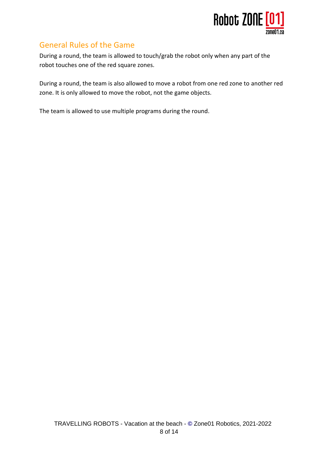

#### General Rules of the Game

During a round, the team is allowed to touch/grab the robot only when any part of the robot touches one of the red square zones.

During a round, the team is also allowed to move a robot from one red zone to another red zone. It is only allowed to move the robot, not the game objects.

The team is allowed to use multiple programs during the round.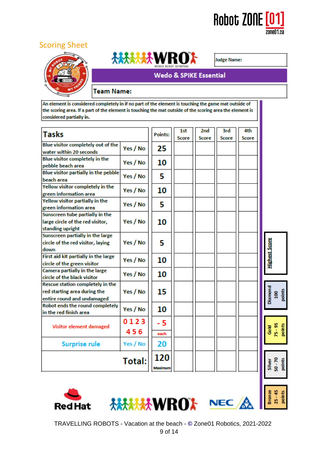

#### Scoring Sheet





**Judge Name:** 

#### **Wedo & SPIKE Essential**

#### **Team Name:**

An element is considered completely in if no part of the element is touching the game mat outside of the scoring area. If a part of the element is touching the mat outside of the scoring area the element is considered partially in.

| <b>Tasks</b>                         |          |         |              |                     |              |                             |                                |
|--------------------------------------|----------|---------|--------------|---------------------|--------------|-----------------------------|--------------------------------|
|                                      |          | Points: | 1st<br>Score | 2nd<br><b>Score</b> | 3rd<br>Score | 4th<br>Score                |                                |
| Blue visitor completely out of the   | Yes / No | 25      |              |                     |              |                             |                                |
| water within 20 seconds              |          |         |              |                     |              |                             |                                |
| Blue visitor completely in the       | Yes / No | 10      |              |                     |              |                             |                                |
| pebble beach area                    |          |         |              |                     |              |                             |                                |
| Blue visitor partially in the pebble | Yes / No | 5       |              |                     |              |                             |                                |
| beach area                           |          |         |              |                     |              |                             |                                |
| Yellow visitor completely in the     | Yes / No | 10      |              |                     |              |                             |                                |
| green information area               |          |         |              |                     |              |                             |                                |
| Yellow visitor partially in the      | Yes / No | 5       |              |                     |              |                             |                                |
| green information area               |          |         |              |                     |              |                             |                                |
| Sunscreen tube partially in the      | Yes / No |         |              |                     |              |                             |                                |
| large circle of the red visitor,     |          | 10      |              |                     |              |                             |                                |
| standing upright                     |          |         |              |                     |              |                             |                                |
| Sunscreen partially in the large     |          |         |              |                     |              |                             |                                |
| circle of the red visitor, laying    | Yes / No | 5       |              |                     |              |                             |                                |
| down                                 |          |         |              |                     |              |                             |                                |
| First aid kit partially in the large |          |         |              |                     |              |                             |                                |
| circle of the green visitor          | Yes / No | 10      |              |                     |              |                             | <b>Highest Score</b>           |
| Camera partially in the large        | Yes / No |         |              |                     |              |                             |                                |
| circle of the black visitor          |          | 10      |              |                     |              |                             |                                |
| Rescue station completely in the     | Yes / No | 15      |              |                     |              |                             |                                |
| red starting area during the         |          |         |              |                     |              |                             | Diamond<br>100<br>points       |
| entire round and undamaged           |          |         |              |                     |              |                             |                                |
| Robot ends the round completely      |          |         |              |                     |              |                             |                                |
| in the red finish area               | Yes / No | 10      |              |                     |              |                             |                                |
| Visitor element damaged              |          |         |              |                     |              |                             |                                |
|                                      | 0123     | - 5     |              |                     |              |                             |                                |
|                                      | 456      | each    |              |                     |              |                             | 75 - 95<br>points<br>공<br>Sold |
|                                      |          |         |              |                     |              |                             |                                |
| <b>Surprise rule</b>                 | Yes / No | 20      |              |                     |              |                             |                                |
| Total:                               |          | 120     |              |                     |              |                             |                                |
|                                      |          |         |              |                     |              | Silver<br>50 - 70<br>points |                                |
|                                      | Maximum  |         |              |                     |              |                             |                                |
|                                      |          |         |              |                     |              |                             |                                |
|                                      |          |         |              |                     |              |                             |                                |
| <b>NEC</b><br><b>Red Hat</b>         |          |         |              |                     |              |                             |                                |
|                                      |          |         |              |                     |              |                             | $25 - 45$<br>points<br>Bronze  |
|                                      |          |         |              |                     |              |                             |                                |
|                                      |          |         |              |                     |              |                             |                                |

TRAVELLING ROBOTS - Vacation at the beach - **[©](http://fr.wikipedia.org/wiki/%C2%A9)** Zone01 Robotics, 2021-2022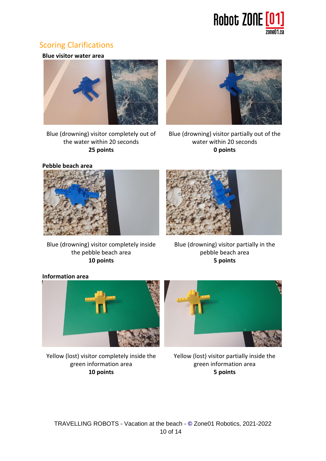

### Scoring Clarifications

**Blue visitor water area**



Blue (drowning) visitor completely out of the water within 20 seconds **25 points**



Blue (drowning) visitor partially out of the water within 20 seconds **0 points**

**Pebble beach area**



Blue (drowning) visitor completely inside the pebble beach area **10 points**

Blue (drowning) visitor partially in the pebble beach area **5 points**

#### **Information area**



Yellow (lost) visitor completely inside the green information area **10 points**

Yellow (lost) visitor partially inside the green information area **5 points**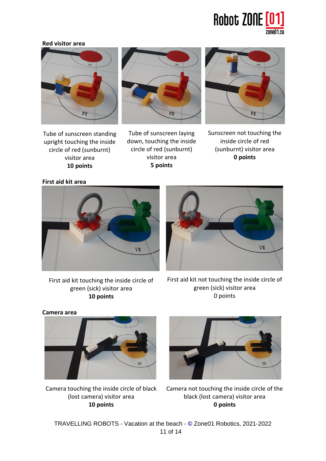

#### **Red visitor area**







Tube of sunscreen standing upright touching the inside circle of red (sunburnt) visitor area **10 points**

Tube of sunscreen laying down, touching the inside circle of red (sunburnt) visitor area **5 points**

Sunscreen not touching the inside circle of red (sunburnt) visitor area **0 points**

**First aid kit area**



 $1A$ 

First aid kit touching the inside circle of green (sick) visitor area **10 points**

First aid kit not touching the inside circle of green (sick) visitor area 0 points

**Camera area**



Camera touching the inside circle of black (lost camera) visitor area **10 points**



Camera not touching the inside circle of the black (lost camera) visitor area **0 points**

TRAVELLING ROBOTS - Vacation at the beach - **[©](http://fr.wikipedia.org/wiki/%C2%A9)** Zone01 Robotics, 2021-2022 11 of 14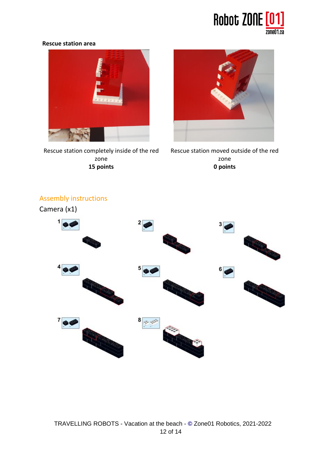

#### **Rescue station area**



Rescue station completely inside of the red zone **15 points**



Rescue station moved outside of the red zone **0 points**



## Assembly instructions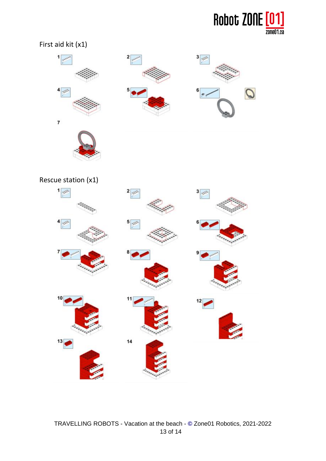

#### First aid kit (x1)